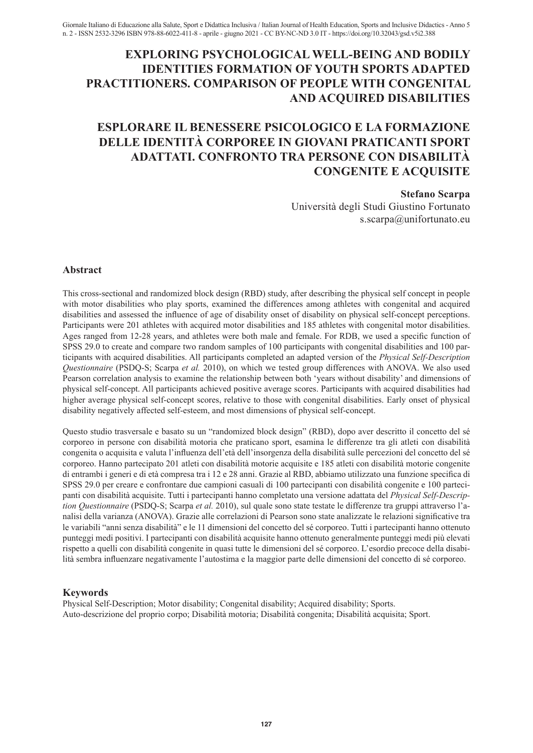## **EXPLORING PSYCHOLOGICAL WELL-BEING AND BODILY IDENTITIES FORMATION OF YOUTH SPORTS ADAPTED PRACTITIONERS. COMPARISON OF PEOPLE WITH CONGENITAL AND ACQUIRED DISABILITIES**

# **ESPLORARE IL BENESSERE PSICOLOGICO E LA FORMAZIONE DELLE IDENTITÀ CORPOREE IN GIOVANI PRATICANTI SPORT ADATTATI. CONFRONTO TRA PERSONE CON DISABILITÀ CONGENITE E ACQUISITE**

#### **Stefano Scarpa**

Università degli Studi Giustino Fortunato s.scarpa@unifortunato.eu

### **Abstract**

This cross-sectional and randomized block design (RBD) study, after describing the physical self concept in people with motor disabilities who play sports, examined the differences among athletes with congenital and acquired disabilities and assessed the influence of age of disability onset of disability on physical self-concept perceptions. Participants were 201 athletes with acquired motor disabilities and 185 athletes with congenital motor disabilities. Ages ranged from 12-28 years, and athletes were both male and female. For RDB, we used a specific function of SPSS 29.0 to create and compare two random samples of 100 participants with congenital disabilities and 100 participants with acquired disabilities. All participants completed an adapted version of the *Physical Self-Description Questionnaire* (PSDQ-S; Scarpa *et al.* 2010), on which we tested group differences with ANOVA. We also used Pearson correlation analysis to examine the relationship between both 'years without disability' and dimensions of physical self-concept. All participants achieved positive average scores. Participants with acquired disabilities had higher average physical self-concept scores, relative to those with congenital disabilities. Early onset of physical disability negatively affected self-esteem, and most dimensions of physical self-concept.

Questo studio trasversale e basato su un "randomized block design" (RBD), dopo aver descritto il concetto del sé corporeo in persone con disabilità motoria che praticano sport, esamina le differenze tra gli atleti con disabilità congenita o acquisita e valuta l'influenza dell'età dell'insorgenza della disabilità sulle percezioni del concetto del sé corporeo. Hanno partecipato 201 atleti con disabilità motorie acquisite e 185 atleti con disabilità motorie congenite di entrambi i generi e di età compresa tra i 12 e 28 anni. Grazie al RBD, abbiamo utilizzato una funzione specifica di SPSS 29.0 per creare e confrontare due campioni casuali di 100 partecipanti con disabilità congenite e 100 partecipanti con disabilità acquisite. Tutti i partecipanti hanno completato una versione adattata del *Physical Self-Description Questionnaire* (PSDQ-S; Scarpa *et al.* 2010), sul quale sono state testate le differenze tra gruppi attraverso l'analisi della varianza (ANOVA). Grazie alle correlazioni di Pearson sono state analizzate le relazioni significative tra le variabili "anni senza disabilità" e le 11 dimensioni del concetto del sé corporeo. Tutti i partecipanti hanno ottenuto punteggi medi positivi. I partecipanti con disabilità acquisite hanno ottenuto generalmente punteggi medi più elevati rispetto a quelli con disabilità congenite in quasi tutte le dimensioni del sé corporeo. L'esordio precoce della disabilità sembra influenzare negativamente l'autostima e la maggior parte delle dimensioni del concetto di sé corporeo.

## **Keywords**

Physical Self-Description; Motor disability; Congenital disability; Acquired disability; Sports. Auto-descrizione del proprio corpo; Disabilità motoria; Disabilità congenita; Disabilità acquisita; Sport.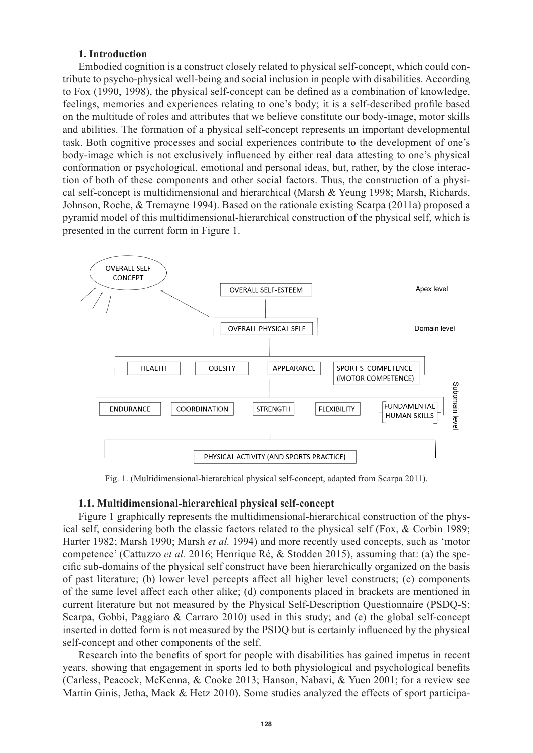### **1. Introduction**

Embodied cognition is a construct closely related to physical self-concept, which could contribute to psycho-physical well-being and social inclusion in people with disabilities. According to Fox (1990, 1998), the physical self-concept can be defined as a combination of knowledge, feelings, memories and experiences relating to one's body; it is a self-described profile based on the multitude of roles and attributes that we believe constitute our body-image, motor skills and abilities. The formation of a physical self-concept represents an important developmental task. Both cognitive processes and social experiences contribute to the development of one's body-image which is not exclusively influenced by either real data attesting to one's physical conformation or psychological, emotional and personal ideas, but, rather, by the close interaction of both of these components and other social factors. Thus, the construction of a physical self-concept is multidimensional and hierarchical (Marsh & Yeung 1998; Marsh, Richards, Johnson, Roche, & Tremayne 1994). Based on the rationale existing Scarpa (2011a) proposed a pyramid model of this multidimensional-hierarchical construction of the physical self, which is presented in the current form in Figure 1.



Fig. 1. (Multidimensional-hierarchical physical self-concept, adapted from Scarpa 2011).

#### **1.1. Multidimensional-hierarchical physical self-concept**

Figure 1 graphically represents the multidimensional-hierarchical construction of the physical self, considering both the classic factors related to the physical self (Fox, & Corbin 1989; Harter 1982; Marsh 1990; Marsh *et al.* 1994) and more recently used concepts, such as 'motor competence' (Cattuzzo *et al.* 2016; Henrique Ré, & Stodden 2015), assuming that: (a) the specific sub-domains of the physical self construct have been hierarchically organized on the basis of past literature; (b) lower level percepts affect all higher level constructs; (c) components of the same level affect each other alike; (d) components placed in brackets are mentioned in current literature but not measured by the Physical Self-Description Questionnaire (PSDQ-S; Scarpa, Gobbi, Paggiaro & Carraro 2010) used in this study; and (e) the global self-concept inserted in dotted form is not measured by the PSDQ but is certainly influenced by the physical self-concept and other components of the self.

Research into the benefits of sport for people with disabilities has gained impetus in recent years, showing that engagement in sports led to both physiological and psychological benefits (Carless, Peacock, McKenna, & Cooke 2013; Hanson, Nabavi, & Yuen 2001; for a review see Martin Ginis, Jetha, Mack & Hetz 2010). Some studies analyzed the effects of sport participa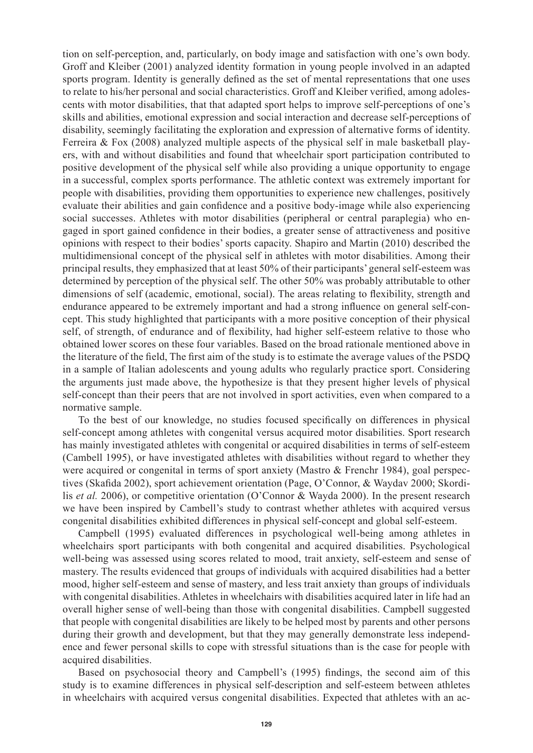tion on self-perception, and, particularly, on body image and satisfaction with one's own body. Groff and Kleiber (2001) analyzed identity formation in young people involved in an adapted sports program. Identity is generally defined as the set of mental representations that one uses to relate to his/her personal and social characteristics. Groff and Kleiber verified, among adolescents with motor disabilities, that that adapted sport helps to improve self-perceptions of one's skills and abilities, emotional expression and social interaction and decrease self-perceptions of disability, seemingly facilitating the exploration and expression of alternative forms of identity. Ferreira & Fox (2008) analyzed multiple aspects of the physical self in male basketball players, with and without disabilities and found that wheelchair sport participation contributed to positive development of the physical self while also providing a unique opportunity to engage in a successful, complex sports performance. The athletic context was extremely important for people with disabilities, providing them opportunities to experience new challenges, positively evaluate their abilities and gain confidence and a positive body-image while also experiencing social successes. Athletes with motor disabilities (peripheral or central paraplegia) who engaged in sport gained confidence in their bodies, a greater sense of attractiveness and positive opinions with respect to their bodies' sports capacity. Shapiro and Martin (2010) described the multidimensional concept of the physical self in athletes with motor disabilities. Among their principal results, they emphasized that at least 50% of their participants' general self-esteem was determined by perception of the physical self. The other 50% was probably attributable to other dimensions of self (academic, emotional, social). The areas relating to flexibility, strength and endurance appeared to be extremely important and had a strong influence on general self-concept. This study highlighted that participants with a more positive conception of their physical self, of strength, of endurance and of flexibility, had higher self-esteem relative to those who obtained lower scores on these four variables. Based on the broad rationale mentioned above in the literature of the field, The first aim of the study is to estimate the average values of the PSDQ in a sample of Italian adolescents and young adults who regularly practice sport. Considering the arguments just made above, the hypothesize is that they present higher levels of physical self-concept than their peers that are not involved in sport activities, even when compared to a normative sample.

To the best of our knowledge, no studies focused specifically on differences in physical self-concept among athletes with congenital versus acquired motor disabilities. Sport research has mainly investigated athletes with congenital or acquired disabilities in terms of self-esteem (Cambell 1995), or have investigated athletes with disabilities without regard to whether they were acquired or congenital in terms of sport anxiety (Mastro & Frenchr 1984), goal perspectives (Skafida 2002), sport achievement orientation (Page, O'Connor, & Waydav 2000; Skordilis *et al.* 2006), or competitive orientation (O'Connor & Wayda 2000). In the present research we have been inspired by Cambell's study to contrast whether athletes with acquired versus congenital disabilities exhibited differences in physical self-concept and global self-esteem.

Campbell (1995) evaluated differences in psychological well-being among athletes in wheelchairs sport participants with both congenital and acquired disabilities. Psychological well-being was assessed using scores related to mood, trait anxiety, self-esteem and sense of mastery. The results evidenced that groups of individuals with acquired disabilities had a better mood, higher self-esteem and sense of mastery, and less trait anxiety than groups of individuals with congenital disabilities. Athletes in wheelchairs with disabilities acquired later in life had an overall higher sense of well-being than those with congenital disabilities. Campbell suggested that people with congenital disabilities are likely to be helped most by parents and other persons during their growth and development, but that they may generally demonstrate less independence and fewer personal skills to cope with stressful situations than is the case for people with acquired disabilities.

Based on psychosocial theory and Campbell's (1995) findings, the second aim of this study is to examine differences in physical self-description and self-esteem between athletes in wheelchairs with acquired versus congenital disabilities. Expected that athletes with an ac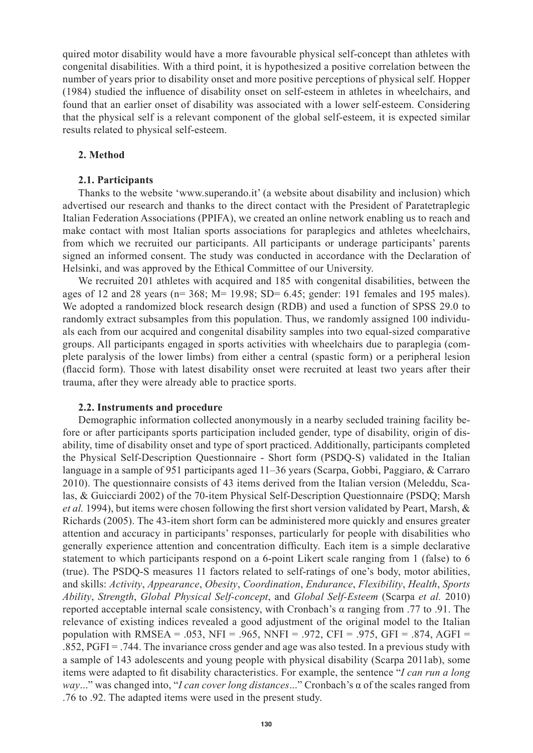quired motor disability would have a more favourable physical self-concept than athletes with congenital disabilities. With a third point, it is hypothesized a positive correlation between the number of years prior to disability onset and more positive perceptions of physical self. Hopper (1984) studied the influence of disability onset on self-esteem in athletes in wheelchairs, and found that an earlier onset of disability was associated with a lower self-esteem. Considering that the physical self is a relevant component of the global self-esteem, it is expected similar results related to physical self-esteem.

### **2. Method**

### **2.1. Participants**

Thanks to the website 'www.superando.it' (a website about disability and inclusion) which advertised our research and thanks to the direct contact with the President of Paratetraplegic Italian Federation Associations (PPIFA), we created an online network enabling us to reach and make contact with most Italian sports associations for paraplegics and athletes wheelchairs, from which we recruited our participants. All participants or underage participants' parents signed an informed consent. The study was conducted in accordance with the Declaration of Helsinki, and was approved by the Ethical Committee of our University.

We recruited 201 athletes with acquired and 185 with congenital disabilities, between the ages of 12 and 28 years ( $n= 368$ ;  $M= 19.98$ ; SD= 6.45; gender: 191 females and 195 males). We adopted a randomized block research design (RDB) and used a function of SPSS 29.0 to randomly extract subsamples from this population. Thus, we randomly assigned 100 individuals each from our acquired and congenital disability samples into two equal-sized comparative groups. All participants engaged in sports activities with wheelchairs due to paraplegia (complete paralysis of the lower limbs) from either a central (spastic form) or a peripheral lesion (flaccid form). Those with latest disability onset were recruited at least two years after their trauma, after they were already able to practice sports.

#### **2.2. Instruments and procedure**

Demographic information collected anonymously in a nearby secluded training facility before or after participants sports participation included gender, type of disability, origin of disability, time of disability onset and type of sport practiced. Additionally, participants completed the Physical Self-Description Questionnaire - Short form (PSDQ-S) validated in the Italian language in a sample of 951 participants aged 11–36 years (Scarpa, Gobbi, Paggiaro, & Carraro 2010). The questionnaire consists of 43 items derived from the Italian version (Meleddu, Scalas, & Guicciardi 2002) of the 70-item Physical Self-Description Questionnaire (PSDQ; Marsh *et al.* 1994), but items were chosen following the first short version validated by Peart, Marsh, & Richards (2005). The 43-item short form can be administered more quickly and ensures greater attention and accuracy in participants' responses, particularly for people with disabilities who generally experience attention and concentration difficulty. Each item is a simple declarative statement to which participants respond on a 6-point Likert scale ranging from 1 (false) to 6 (true). The PSDQ-S measures 11 factors related to self-ratings of one's body, motor abilities, and skills: *Activity*, *Appearance*, *Obesity*, *Coordination*, *Endurance*, *Flexibility*, *Health*, *Sports Ability*, *Strength*, *Global Physical Self-concept*, and *Global Self-Esteem* (Scarpa *et al.* 2010) reported acceptable internal scale consistency, with Cronbach's α ranging from .77 to .91. The relevance of existing indices revealed a good adjustment of the original model to the Italian population with RMSEA = .053, NFI = .965, NNFI = .972, CFI = .975, GFI = .874, AGFI =  $.852$ , PGFI = .744. The invariance cross gender and age was also tested. In a previous study with a sample of 143 adolescents and young people with physical disability (Scarpa 2011ab), some items were adapted to fit disability characteristics. For example, the sentence "*I can run a long way*..." was changed into, "*I can cover long distances*..." Cronbach's α of the scales ranged from .76 to .92. The adapted items were used in the present study.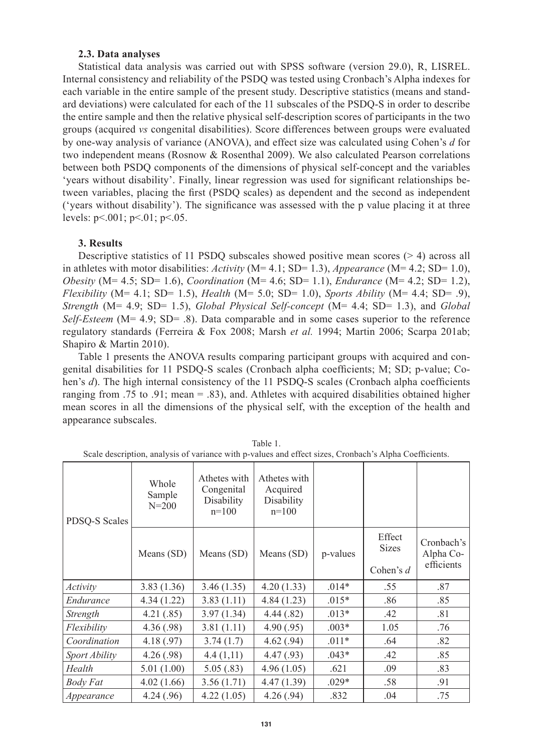#### **2.3. Data analyses**

Statistical data analysis was carried out with SPSS software (version 29.0), R, LISREL. Internal consistency and reliability of the PSDQ was tested using Cronbach's Alpha indexes for each variable in the entire sample of the present study. Descriptive statistics (means and standard deviations) were calculated for each of the 11 subscales of the PSDQ-S in order to describe the entire sample and then the relative physical self-description scores of participants in the two groups (acquired *vs* congenital disabilities). Score differences between groups were evaluated by one-way analysis of variance (ANOVA), and effect size was calculated using Cohen's *d* for two independent means (Rosnow & Rosenthal 2009). We also calculated Pearson correlations between both PSDQ components of the dimensions of physical self-concept and the variables 'years without disability'. Finally, linear regression was used for significant relationships between variables, placing the first (PSDQ scales) as dependent and the second as independent ('years without disability'). The significance was assessed with the p value placing it at three levels:  $p < 001$ ;  $p < 01$ ;  $p < 05$ .

### **3. Results**

Descriptive statistics of 11 PSDQ subscales showed positive mean scores  $(> 4)$  across all in athletes with motor disabilities: *Activity* (M= 4.1; SD= 1.3), *Appearance* (M= 4.2; SD= 1.0), *Obesity* (M= 4.5; SD= 1.6), *Coordination* (M= 4.6; SD= 1.1), *Endurance* (M= 4.2; SD= 1.2), *Flexibility* (M= 4.1; SD= 1.5), *Health* (M= 5.0; SD= 1.0), *Sports Ability* (M= 4.4; SD= .9), *Strength* (M= 4.9; SD= 1.5), *Global Physical Self-concept* (M= 4.4; SD= 1.3), and *Global Self-Esteem* (M= 4.9; SD= .8). Data comparable and in some cases superior to the reference regulatory standards (Ferreira & Fox 2008; Marsh *et al.* 1994; Martin 2006; Scarpa 201ab; Shapiro & Martin 2010).

Table 1 presents the ANOVA results comparing participant groups with acquired and congenital disabilities for 11 PSDQ-S scales (Cronbach alpha coefficients; M; SD; p-value; Cohen's *d*). The high internal consistency of the 11 PSDQ-S scales (Cronbach alpha coefficients ranging from .75 to .91; mean = .83), and. Athletes with acquired disabilities obtained higher mean scores in all the dimensions of the physical self, with the exception of the health and appearance subscales.

| PDSQ-S Scales | Whole<br>Sample<br>$N = 200$ | Athetes with<br>Congenital<br>Disability<br>$n=100$ | Athetes with<br>Acquired<br>Disability<br>$n=100$ |          |                                       |                                       |
|---------------|------------------------------|-----------------------------------------------------|---------------------------------------------------|----------|---------------------------------------|---------------------------------------|
|               | Means (SD)                   | Means (SD)                                          | Means (SD)                                        | p-values | Effect<br><b>Sizes</b><br>Cohen's $d$ | Cronbach's<br>Alpha Co-<br>efficients |
| Activity      | 3.83(1.36)                   | 3.46(1.35)                                          | 4.20(1.33)                                        | $.014*$  | .55                                   | .87                                   |
| Endurance     | 4.34(1.22)                   | 3.83(1.11)                                          | 4.84(1.23)                                        | $.015*$  | .86                                   | .85                                   |
| Strength      | 4.21(.85)                    | 3.97(1.34)                                          | 4.44(.82)                                         | $.013*$  | .42                                   | .81                                   |
| Flexibility   | 4.36(.98)                    | 3.81(1.11)                                          | 4.90(.95)                                         | $.003*$  | 1.05                                  | .76                                   |
| Coordination  | 4.18(.97)                    | 3.74(1.7)                                           | 4.62(.94)                                         | $.011*$  | .64                                   | .82                                   |
| Sport Ability | 4.26(.98)                    | 4.4(1,11)                                           | 4.47(.93)                                         | $.043*$  | .42                                   | .85                                   |
| Health        | 5.01(1.00)                   | 5.05(.83)                                           | 4.96(1.05)                                        | .621     | .09                                   | .83                                   |
| Body Fat      | 4.02(1.66)                   | 3.56(1.71)                                          | 4.47(1.39)                                        | $.029*$  | .58                                   | .91                                   |
| Appearance    | 4.24(.96)                    | 4.22(1.05)                                          | 4.26(.94)                                         | .832     | .04                                   | .75                                   |

Table 1. Scale description, analysis of variance with p-values and effect sizes, Cronbach's Alpha Coefficients.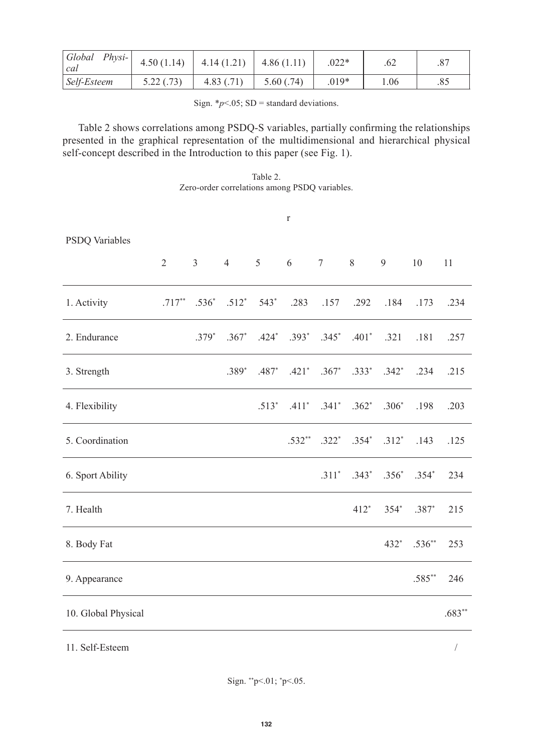| Global<br>$Physi-$<br>cal | 4.50(1.14) | 4.14(1.21) | 4.86(1.11) | $.022*$ | .62  |     |
|---------------------------|------------|------------|------------|---------|------|-----|
| Self-Esteem               | 5.22 (.73) | 4.83(0.71) | 5.60(.74)  | $.019*$ | 1.06 | .85 |

Sign.  $*_{p}$ <.05; SD = standard deviations.

Table 2 shows correlations among PSDQ-S variables, partially confirming the relationships presented in the graphical representation of the multidimensional and hierarchical physical self-concept described in the Introduction to this paper (see Fig. 1).

Table 2. Zero-order correlations among PSDQ variables.

|                     |   |         |                                   |         | $\Gamma$                     |                                     |        |                                              |          |            |
|---------------------|---|---------|-----------------------------------|---------|------------------------------|-------------------------------------|--------|----------------------------------------------|----------|------------|
| PSDQ Variables      |   |         |                                   |         |                              |                                     |        |                                              |          |            |
|                     | 2 |         | $3 \t 4 \t 5$                     |         | $6\degree$                   | 7                                   | 8      | 9                                            | $10\,$   | 11         |
| 1. Activity         |   |         | $.717^{**}$ $.536^{*}$ $.512^{*}$ | 543*    | .283                         | .157                                | .292   | .184                                         | .173     | .234       |
| 2. Endurance        |   | $.379*$ | $.367*$                           |         | .424* .393* .345* .401* .321 |                                     |        |                                              | .181     | .257       |
| 3. Strength         |   |         | $.389*$                           | $.487*$ |                              | $.421^*$ $.367^*$ $.333^*$ $.342^*$ |        |                                              | .234     | .215       |
| 4. Flexibility      |   |         |                                   | $.513*$ |                              | $.411^*$ $.341^*$ $.362^*$ $.306^*$ |        |                                              | .198     | .203       |
| 5. Coordination     |   |         |                                   |         |                              |                                     |        | $.532^{**}$ $.322^{*}$ $.354^{*}$ $.312^{*}$ | .143     | .125       |
| 6. Sport Ability    |   |         |                                   |         |                              |                                     |        | $.311^*$ $.343^*$ $.356^*$ $.354^*$          |          | 234        |
| 7. Health           |   |         |                                   |         |                              |                                     | $412*$ | $354*$                                       | $.387*$  | 215        |
| 8. Body Fat         |   |         |                                   |         |                              |                                     |        | 432*                                         | $.536**$ | 253        |
| 9. Appearance       |   |         |                                   |         |                              |                                     |        |                                              | $.585**$ | 246        |
| 10. Global Physical |   |         |                                   |         |                              |                                     |        |                                              |          | $.683**$   |
| 11. Self-Esteem     |   |         |                                   |         |                              |                                     |        |                                              |          | $\sqrt{2}$ |

Sign. \*\*p<.01; \* p<.05.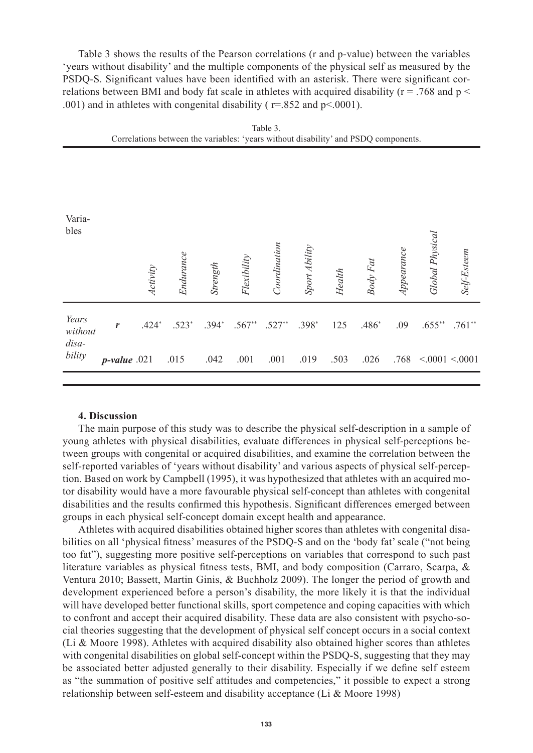Table 3 shows the results of the Pearson correlations (r and p-value) between the variables 'years without disability' and the multiple components of the physical self as measured by the PSDQ-S. Significant values have been identified with an asterisk. There were significant correlations between BMI and body fat scale in athletes with acquired disability ( $r = .768$  and  $p <$ .001) and in athletes with congenital disability ( $r = .852$  and  $p < .0001$ ).

|                  |                 |          |           |          | $\tilde{\phantom{a}}$ |              |               | $\tilde{\phantom{a}}$ |          | $\mathbf{r}$ |                        |               |
|------------------|-----------------|----------|-----------|----------|-----------------------|--------------|---------------|-----------------------|----------|--------------|------------------------|---------------|
| Varia-<br>bles   |                 | Activity | Endurance | Strength | Flexibility           | Coordination | Sport Ability | Health                | Body Fat | Appearance   | <b>Global Physical</b> | Self-Esteem   |
| Years<br>without | r               | $.424*$  | $.523*$   |          | $.394^*$ $.567^{**}$  | $.527**$     | $.398*$       | 125                   | $.486*$  | .09          | $.655***$              | $.761**$      |
| disa-<br>bility  | $p$ -value .021 |          | .015      | .042     | .001                  | .001         | .019          | .503                  | .026     | .768         |                        | < 0001 < 0001 |
|                  |                 |          |           |          |                       |              |               |                       |          |              |                        |               |

|                                                                                     | Table 3 |  |
|-------------------------------------------------------------------------------------|---------|--|
| Correlations between the variables: 'years without disability' and PSDQ components. |         |  |

#### **4. Discussion**

The main purpose of this study was to describe the physical self-description in a sample of young athletes with physical disabilities, evaluate differences in physical self-perceptions between groups with congenital or acquired disabilities, and examine the correlation between the self-reported variables of 'years without disability' and various aspects of physical self-perception. Based on work by Campbell (1995), it was hypothesized that athletes with an acquired motor disability would have a more favourable physical self-concept than athletes with congenital disabilities and the results confirmed this hypothesis. Significant differences emerged between groups in each physical self-concept domain except health and appearance.

Athletes with acquired disabilities obtained higher scores than athletes with congenital disabilities on all 'physical fitness' measures of the PSDQ-S and on the 'body fat' scale ("not being too fat"), suggesting more positive self-perceptions on variables that correspond to such past literature variables as physical fitness tests, BMI, and body composition (Carraro, Scarpa, & Ventura 2010; Bassett, Martin Ginis, & Buchholz 2009). The longer the period of growth and development experienced before a person's disability, the more likely it is that the individual will have developed better functional skills, sport competence and coping capacities with which to confront and accept their acquired disability. These data are also consistent with psycho-social theories suggesting that the development of physical self concept occurs in a social context (Li & Moore 1998). Athletes with acquired disability also obtained higher scores than athletes with congenital disabilities on global self-concept within the PSDQ-S, suggesting that they may be associated better adjusted generally to their disability. Especially if we define self esteem as "the summation of positive self attitudes and competencies," it possible to expect a strong relationship between self-esteem and disability acceptance (Li & Moore 1998)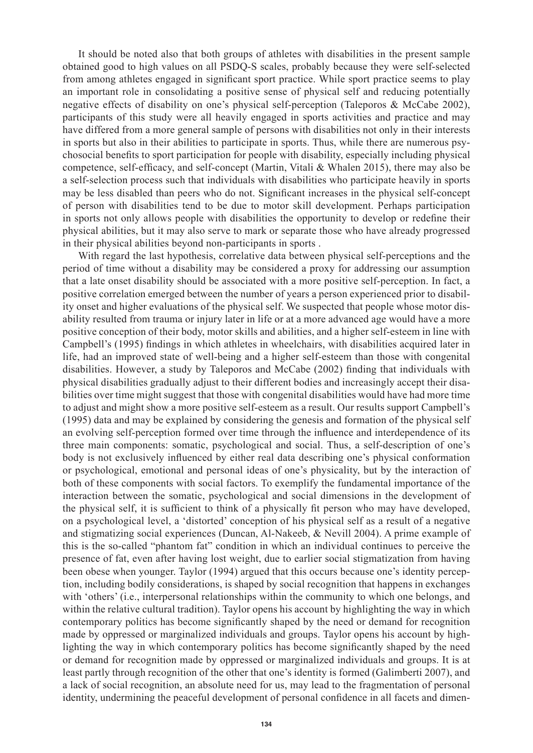It should be noted also that both groups of athletes with disabilities in the present sample obtained good to high values on all PSDQ-S scales, probably because they were self-selected from among athletes engaged in significant sport practice. While sport practice seems to play an important role in consolidating a positive sense of physical self and reducing potentially negative effects of disability on one's physical self-perception (Taleporos & McCabe 2002), participants of this study were all heavily engaged in sports activities and practice and may have differed from a more general sample of persons with disabilities not only in their interests in sports but also in their abilities to participate in sports. Thus, while there are numerous psychosocial benefits to sport participation for people with disability, especially including physical competence, self-efficacy, and self-concept (Martin, Vitali & Whalen 2015), there may also be a self-selection process such that individuals with disabilities who participate heavily in sports may be less disabled than peers who do not. Significant increases in the physical self-concept of person with disabilities tend to be due to motor skill development. Perhaps participation in sports not only allows people with disabilities the opportunity to develop or redefine their physical abilities, but it may also serve to mark or separate those who have already progressed in their physical abilities beyond non-participants in sports .

With regard the last hypothesis, correlative data between physical self-perceptions and the period of time without a disability may be considered a proxy for addressing our assumption that a late onset disability should be associated with a more positive self-perception. In fact, a positive correlation emerged between the number of years a person experienced prior to disability onset and higher evaluations of the physical self. We suspected that people whose motor disability resulted from trauma or injury later in life or at a more advanced age would have a more positive conception of their body, motor skills and abilities, and a higher self-esteem in line with Campbell's (1995) findings in which athletes in wheelchairs, with disabilities acquired later in life, had an improved state of well-being and a higher self-esteem than those with congenital disabilities. However, a study by Taleporos and McCabe (2002) finding that individuals with physical disabilities gradually adjust to their different bodies and increasingly accept their disabilities over time might suggest that those with congenital disabilities would have had more time to adjust and might show a more positive self-esteem as a result. Our results support Campbell's (1995) data and may be explained by considering the genesis and formation of the physical self an evolving self-perception formed over time through the influence and interdependence of its three main components: somatic, psychological and social. Thus, a self-description of one's body is not exclusively influenced by either real data describing one's physical conformation or psychological, emotional and personal ideas of one's physicality, but by the interaction of both of these components with social factors. To exemplify the fundamental importance of the interaction between the somatic, psychological and social dimensions in the development of the physical self, it is sufficient to think of a physically fit person who may have developed, on a psychological level, a 'distorted' conception of his physical self as a result of a negative and stigmatizing social experiences (Duncan, Al-Nakeeb, & Nevill 2004). A prime example of this is the so-called "phantom fat" condition in which an individual continues to perceive the presence of fat, even after having lost weight, due to earlier social stigmatization from having been obese when younger. Taylor (1994) argued that this occurs because one's identity perception, including bodily considerations, is shaped by social recognition that happens in exchanges with 'others' (i.e., interpersonal relationships within the community to which one belongs, and within the relative cultural tradition). Taylor opens his account by highlighting the way in which contemporary politics has become significantly shaped by the need or demand for recognition made by oppressed or marginalized individuals and groups. Taylor opens his account by highlighting the way in which contemporary politics has become significantly shaped by the need or demand for recognition made by oppressed or marginalized individuals and groups. It is at least partly through recognition of the other that one's identity is formed (Galimberti 2007), and a lack of social recognition, an absolute need for us, may lead to the fragmentation of personal identity, undermining the peaceful development of personal confidence in all facets and dimen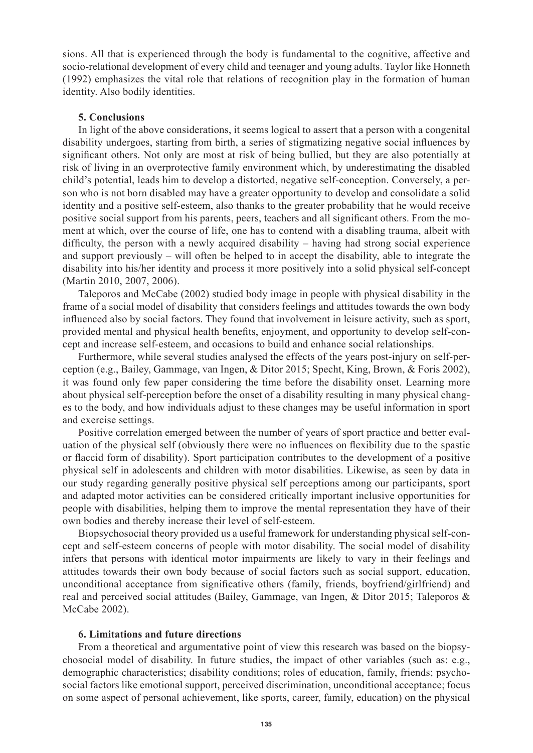sions. All that is experienced through the body is fundamental to the cognitive, affective and socio-relational development of every child and teenager and young adults. Taylor like Honneth (1992) emphasizes the vital role that relations of recognition play in the formation of human identity. Also bodily identities.

### **5. Conclusions**

In light of the above considerations, it seems logical to assert that a person with a congenital disability undergoes, starting from birth, a series of stigmatizing negative social influences by significant others. Not only are most at risk of being bullied, but they are also potentially at risk of living in an overprotective family environment which, by underestimating the disabled child's potential, leads him to develop a distorted, negative self-conception. Conversely, a person who is not born disabled may have a greater opportunity to develop and consolidate a solid identity and a positive self-esteem, also thanks to the greater probability that he would receive positive social support from his parents, peers, teachers and all significant others. From the moment at which, over the course of life, one has to contend with a disabling trauma, albeit with difficulty, the person with a newly acquired disability – having had strong social experience and support previously – will often be helped to in accept the disability, able to integrate the disability into his/her identity and process it more positively into a solid physical self-concept (Martin 2010, 2007, 2006).

Taleporos and McCabe (2002) studied body image in people with physical disability in the frame of a social model of disability that considers feelings and attitudes towards the own body influenced also by social factors. They found that involvement in leisure activity, such as sport, provided mental and physical health benefits, enjoyment, and opportunity to develop self-concept and increase self-esteem, and occasions to build and enhance social relationships.

Furthermore, while several studies analysed the effects of the years post-injury on self-perception (e.g., Bailey, Gammage, van Ingen, & Ditor 2015; Specht, King, Brown, & Foris 2002), it was found only few paper considering the time before the disability onset. Learning more about physical self-perception before the onset of a disability resulting in many physical changes to the body, and how individuals adjust to these changes may be useful information in sport and exercise settings.

Positive correlation emerged between the number of years of sport practice and better evaluation of the physical self (obviously there were no influences on flexibility due to the spastic or flaccid form of disability). Sport participation contributes to the development of a positive physical self in adolescents and children with motor disabilities. Likewise, as seen by data in our study regarding generally positive physical self perceptions among our participants, sport and adapted motor activities can be considered critically important inclusive opportunities for people with disabilities, helping them to improve the mental representation they have of their own bodies and thereby increase their level of self-esteem.

Biopsychosocial theory provided us a useful framework for understanding physical self-concept and self-esteem concerns of people with motor disability. The social model of disability infers that persons with identical motor impairments are likely to vary in their feelings and attitudes towards their own body because of social factors such as social support, education, unconditional acceptance from significative others (family, friends, boyfriend/girlfriend) and real and perceived social attitudes (Bailey, Gammage, van Ingen, & Ditor 2015; Taleporos & McCabe 2002).

#### **6. Limitations and future directions**

From a theoretical and argumentative point of view this research was based on the biopsychosocial model of disability. In future studies, the impact of other variables (such as: e.g., demographic characteristics; disability conditions; roles of education, family, friends; psychosocial factors like emotional support, perceived discrimination, unconditional acceptance; focus on some aspect of personal achievement, like sports, career, family, education) on the physical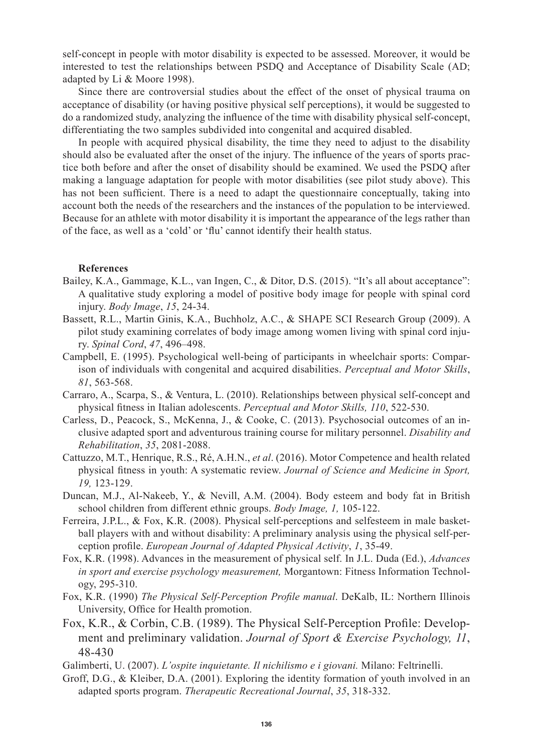self-concept in people with motor disability is expected to be assessed. Moreover, it would be interested to test the relationships between PSDQ and Acceptance of Disability Scale (AD; adapted by Li & Moore 1998).

Since there are controversial studies about the effect of the onset of physical trauma on acceptance of disability (or having positive physical self perceptions), it would be suggested to do a randomized study, analyzing the influence of the time with disability physical self-concept, differentiating the two samples subdivided into congenital and acquired disabled.

In people with acquired physical disability, the time they need to adjust to the disability should also be evaluated after the onset of the injury. The influence of the years of sports practice both before and after the onset of disability should be examined. We used the PSDQ after making a language adaptation for people with motor disabilities (see pilot study above). This has not been sufficient. There is a need to adapt the questionnaire conceptually, taking into account both the needs of the researchers and the instances of the population to be interviewed. Because for an athlete with motor disability it is important the appearance of the legs rather than of the face, as well as a 'cold' or 'flu' cannot identify their health status.

#### **References**

- Bailey, K.A., Gammage, K.L., van Ingen, C., & Ditor, D.S. (2015). "It's all about acceptance": A qualitative study exploring a model of positive body image for people with spinal cord injury. *Body Image*, *15*, 24-34.
- Bassett, R.L., Martin Ginis, K.A., Buchholz, A.C., & SHAPE SCI Research Group (2009). A pilot study examining correlates of body image among women living with spinal cord injury. *Spinal Cord*, *47*, 496–498.
- Campbell, E. (1995). Psychological well-being of participants in wheelchair sports: Comparison of individuals with congenital and acquired disabilities. *Perceptual and Motor Skills*, *81*, 563-568.
- Carraro, A., Scarpa, S., & Ventura, L. (2010). Relationships between physical self-concept and physical fitness in Italian adolescents. *Perceptual and Motor Skills, 110*, 522-530.
- Carless, D., Peacock, S., McKenna, J., & Cooke, C. (2013). Psychosocial outcomes of an inclusive adapted sport and adventurous training course for military personnel. *Disability and Rehabilitation*, *35*, 2081-2088.
- Cattuzzo, M.T., Henrique, R.S., Ré, A.H.N., *et al*. (2016). Motor Competence and health related physical fitness in youth: A systematic review. *Journal of Science and Medicine in Sport, 19,* 123-129.
- Duncan, M.J., Al-Nakeeb, Y., & Nevill, A.M. (2004). Body esteem and body fat in British school children from different ethnic groups. *Body Image, 1,* 105-122.
- Ferreira, J.P.L., & Fox, K.R. (2008). Physical self-perceptions and selfesteem in male basketball players with and without disability: A preliminary analysis using the physical self-perception profile. *European Journal of Adapted Physical Activity*, *1*, 35-49.
- Fox, K.R. (1998). Advances in the measurement of physical self. In J.L. Duda (Ed.), *Advances in sport and exercise psychology measurement,* Morgantown: Fitness Information Technology, 295-310.
- Fox, K.R. (1990) *The Physical Self-Perception Profile manual*. DeKalb, IL: Northern Illinois University, Office for Health promotion.
- Fox, K.R., & Corbin, C.B. (1989). The Physical Self-Perception Profile: Development and preliminary validation. *Journal of Sport & Exercise Psychology, 11*, 48-430
- Galimberti, U. (2007). *L'ospite inquietante. Il nichilismo e i giovani.* Milano: Feltrinelli.
- Groff, D.G., & Kleiber, D.A. (2001). Exploring the identity formation of youth involved in an adapted sports program. *Therapeutic Recreational Journal*, *35*, 318-332.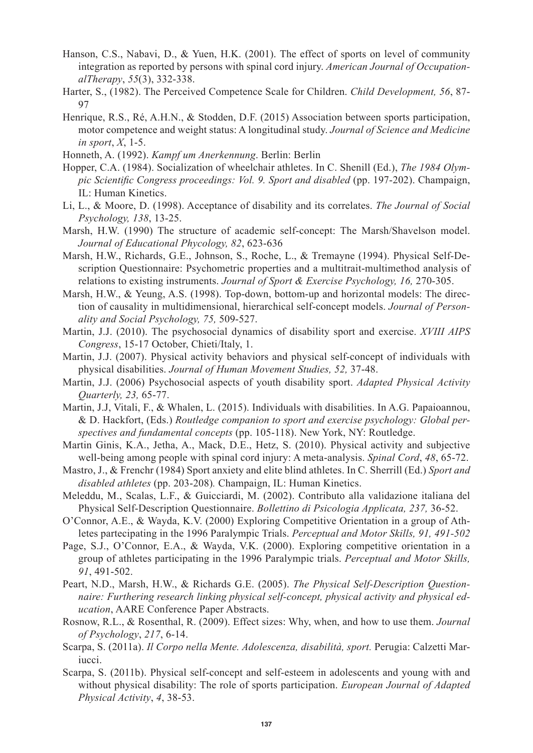- Hanson, C.S., Nabavi, D., & Yuen, H.K. (2001). The effect of sports on level of community integration as reported by persons with spinal cord injury. *American Journal of OccupationalTherapy*, *55*(3), 332-338.
- Harter, S., (1982). The Perceived Competence Scale for Children. *Child Development, 56*, 87- 97
- Henrique, R.S., Ré, A.H.N., & Stodden, D.F. (2015) Association between sports participation, motor competence and weight status: A longitudinal study. *Journal of Science and Medicine in sport*, *X*, 1-5.
- Honneth, A. (1992). *Kampf um Anerkennung*. Berlin: Berlin
- Hopper, C.A. (1984). Socialization of wheelchair athletes. In C. Shenill (Ed.), *The 1984 Olympic Scientific Congress proceedings: Vol. 9. Sport and disabled* (pp. 197-202). Champaign, IL: Human Kinetics.
- Li, L., & Moore, D. (1998). Acceptance of disability and its correlates. *The Journal of Social Psychology, 138*, 13-25.
- Marsh, H.W. (1990) The structure of academic self-concept: The Marsh/Shavelson model. *Journal of Educational Phycology, 82*, 623-636
- Marsh, H.W., Richards, G.E., Johnson, S., Roche, L., & Tremayne (1994). Physical Self-Description Questionnaire: Psychometric properties and a multitrait-multimethod analysis of relations to existing instruments. *Journal of Sport & Exercise Psychology, 16,* 270-305.
- Marsh, H.W., & Yeung, A.S. (1998). Top-down, bottom-up and horizontal models: The direction of causality in multidimensional, hierarchical self-concept models. *Journal of Personality and Social Psychology, 75,* 509-527.
- Martin, J.J. (2010). The psychosocial dynamics of disability sport and exercise. *XVIII AIPS Congress*, 15-17 October, Chieti/Italy, 1.
- Martin, J.J. (2007). Physical activity behaviors and physical self-concept of individuals with physical disabilities. *Journal of Human Movement Studies, 52,* 37-48.
- Martin, J.J. (2006) Psychosocial aspects of youth disability sport. *Adapted Physical Activity Quarterly, 23,* 65-77.
- Martin, J.J, Vitali, F., & Whalen, L. (2015). Individuals with disabilities. In A.G. Papaioannou, & D. Hackfort, (Eds.) *Routledge companion to sport and exercise psychology: Global perspectives and fundamental concepts* (pp. 105-118). New York, NY: Routledge.
- Martin Ginis, K.A., Jetha, A., Mack, D.E., Hetz, S. (2010). Physical activity and subjective well-being among people with spinal cord injury: A meta-analysis. *Spinal Cord*, *48*, 65-72.
- Mastro, J., & Frenchr (1984) Sport anxiety and elite blind athletes. In C. Sherrill (Ed.) *Sport and disabled athletes* (pp. 203-208)*.* Champaign, IL: Human Kinetics.
- Meleddu, M., Scalas, L.F., & Guicciardi, M. (2002). Contributo alla validazione italiana del Physical Self-Description Questionnaire. *Bollettino di Psicologia Applicata, 237,* 36-52.
- O'Connor, A.E., & Wayda, K.V. (2000) Exploring Competitive Orientation in a group of Athletes partecipating in the 1996 Paralympic Trials. *Perceptual and Motor Skills, 91, 491-502*
- Page, S.J., O'Connor, E.A., & Wayda, V.K. (2000). Exploring competitive orientation in a group of athletes participating in the 1996 Paralympic trials. *Perceptual and Motor Skills, 91*, 491-502.
- Peart, N.D., Marsh, H.W., & Richards G.E. (2005). *The Physical Self-Description Questionnaire: Furthering research linking physical self-concept, physical activity and physical education*, AARE Conference Paper Abstracts.
- Rosnow, R.L., & Rosenthal, R. (2009). Effect sizes: Why, when, and how to use them. *Journal of Psychology*, *217*, 6-14.
- Scarpa, S. (2011a). *Il Corpo nella Mente. Adolescenza, disabilità, sport.* Perugia: Calzetti Mariucci.
- Scarpa, S. (2011b). Physical self-concept and self-esteem in adolescents and young with and without physical disability: The role of sports participation. *European Journal of Adapted Physical Activity*, *4*, 38-53.